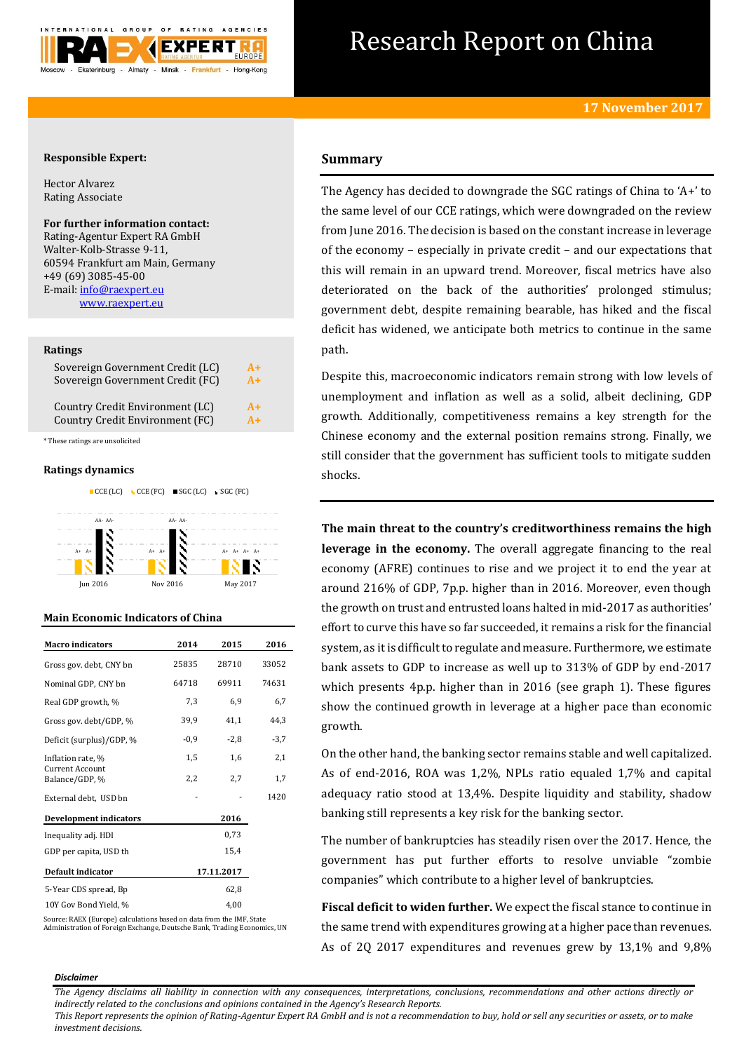

# Research Report on China

## **Responsible Expert:**

Hector Alvarez Rating Associate

# **For further information contact:**

Rating-Agentur Expert RA GmbH Walter-Kolb-Strasse 9-11, 60594 Frankfurt am Main, Germany +49 (69) 3085-45-00 E-mail[: info@raexpert.eu](mailto:info@raexpert.eu) [www.raexpert.eu](http://raexpert.eu/)

### **Ratings**

| Sovereign Government Credit (LC) | $A+$ |
|----------------------------------|------|
| Sovereign Government Credit (FC) | $A+$ |
| Country Credit Environment (LC)  | $A+$ |
| Country Credit Environment (FC)  | $A+$ |

\* These ratings are unsolicited

## **Ratings dynamics**



## **Main Economic Indicators of China**

| <b>Macro</b> indicators           | 2014   | 2015       | 2016   |
|-----------------------------------|--------|------------|--------|
| Gross gov. debt, CNY bn           | 25835  | 28710      | 33052  |
| Nominal GDP, CNY bn               | 64718  | 69911      | 74631  |
| Real GDP growth, %                | 7,3    | 6,9        | 6,7    |
| Gross gov. debt/GDP, %            | 39,9   | 41,1       | 44,3   |
| Deficit (surplus)/GDP, %          | $-0.9$ | $-2,8$     | $-3,7$ |
| Inflation rate, %                 | 1,5    | 1,6        | 2,1    |
| Current Account<br>Balance/GDP, % | 2,2    | 2,7        | 1,7    |
| External debt, USD bn             |        |            | 1420   |
| <b>Development indicators</b>     |        | 2016       |        |
| Inequality adj. HDI               |        | 0,73       |        |
| GDP per capita, USD th            |        | 15,4       |        |
| Default indicator                 |        | 17.11.2017 |        |
| 5-Year CDS spread, Bp             |        | 62,8       |        |
| 10Y Gov Bond Yield, %             |        | 4,00       |        |

Source: RAEX (Europe) calculations based on data from the IMF, State Administration of Foreign Exchange, Deutsche Bank, Trading Economics, UN

# **Summary**

The Agency has decided to downgrade the SGC ratings of China to 'A+' to the same level of our CCE ratings, which were downgraded on the review from June 2016. The decision is based on the constant increase in leverage of the economy – especially in private credit – and our expectations that this will remain in an upward trend. Moreover, fiscal metrics have also deteriorated on the back of the authorities' prolonged stimulus; government debt, despite remaining bearable, has hiked and the fiscal deficit has widened, we anticipate both metrics to continue in the same path.

Despite this, macroeconomic indicators remain strong with low levels of unemployment and inflation as well as a solid, albeit declining, GDP growth. Additionally, competitiveness remains a key strength for the Chinese economy and the external position remains strong. Finally, we still consider that the government has sufficient tools to mitigate sudden shocks.

**The main threat to the country's creditworthiness remains the high leverage in the economy.** The overall aggregate financing to the real economy (AFRE) continues to rise and we project it to end the year at around 216% of GDP, 7p.p. higher than in 2016. Moreover, even though the growth on trust and entrusted loans halted in mid-2017 as authorities' effort to curve this have so far succeeded, it remains a risk for the financial system, as it is difficult to regulate and measure. Furthermore, we estimate bank assets to GDP to increase as well up to 313% of GDP by end-2017 which presents 4p.p. higher than in 2016 (see graph 1). These figures show the continued growth in leverage at a higher pace than economic growth.

On the other hand, the banking sector remains stable and well capitalized. As of end-2016, ROA was 1,2%, NPLs ratio equaled 1,7% and capital adequacy ratio stood at 13,4%. Despite liquidity and stability, shadow banking still represents a key risk for the banking sector.

The number of bankruptcies has steadily risen over the 2017. Hence, the government has put further efforts to resolve unviable "zombie companies" which contribute to a higher level of bankruptcies.

**Fiscal deficit to widen further.** We expect the fiscal stance to continue in the same trend with expenditures growing at a higher pace than revenues. As of 2Q 2017 expenditures and revenues grew by 13,1% and 9,8%

#### *Disclaimer*

*The Agency disclaims all liability in connection with any consequences, interpretations, conclusions, recommendations and other actions directly or indirectly related to the conclusions and opinions contained in the Agency's Research Reports.*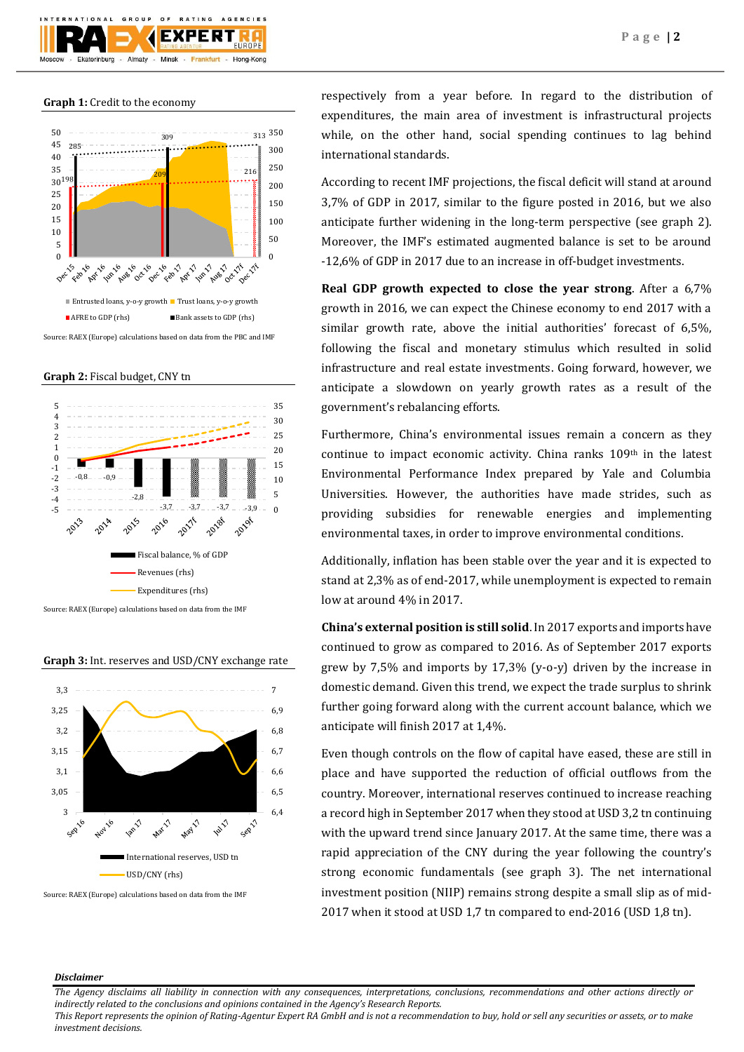

#### **Graph 1:** Credit to the economy



Source: RAEX (Europe) calculations based on data from the PBC and IMF

## **Graph 2:** Fiscal budget, CNY tn



**Graph 3:** Int. reserves and USD/CNY exchange rate



Source: RAEX (Europe) calculations based on data from the IMF

respectively from a year before. In regard to the distribution of expenditures, the main area of investment is infrastructural projects while, on the other hand, social spending continues to lag behind international standards.

According to recent IMF projections, the fiscal deficit will stand at around 3,7% of GDP in 2017, similar to the figure posted in 2016, but we also anticipate further widening in the long-term perspective (see graph 2). Moreover, the IMF's estimated augmented balance is set to be around -12,6% of GDP in 2017 due to an increase in off-budget investments.

**Real GDP growth expected to close the year strong**. After a 6,7% growth in 2016, we can expect the Chinese economy to end 2017 with a similar growth rate, above the initial authorities' forecast of 6,5%, following the fiscal and monetary stimulus which resulted in solid infrastructure and real estate investments. Going forward, however, we anticipate a slowdown on yearly growth rates as a result of the government's rebalancing efforts.

Furthermore, China's environmental issues remain a concern as they continue to impact economic activity. China ranks 109th in the latest Environmental Performance Index prepared by Yale and Columbia Universities. However, the authorities have made strides, such as providing subsidies for renewable energies and implementing environmental taxes, in order to improve environmental conditions.

Additionally, inflation has been stable over the year and it is expected to stand at 2,3% as of end-2017, while unemployment is expected to remain low at around 4% in 2017.

**China's external position is still solid**. In 2017 exports and imports have continued to grow as compared to 2016. As of September 2017 exports grew by 7,5% and imports by 17,3% (y-o-y) driven by the increase in domestic demand. Given this trend, we expect the trade surplus to shrink further going forward along with the current account balance, which we anticipate will finish 2017 at 1,4%.

Even though controls on the flow of capital have eased, these are still in place and have supported the reduction of official outflows from the country. Moreover, international reserves continued to increase reaching a record high in September 2017 when they stood at USD 3,2 tn continuing with the upward trend since January 2017. At the same time, there was a rapid appreciation of the CNY during the year following the country's strong economic fundamentals (see graph 3). The net international investment position (NIIP) remains strong despite a small slip as of mid-2017 when it stood at USD 1,7 tn compared to end-2016 (USD 1,8 tn).

#### *Disclaimer*

*The Agency disclaims all liability in connection with any consequences, interpretations, conclusions, recommendations and other actions directly or indirectly related to the conclusions and opinions contained in the Agency's Research Reports.*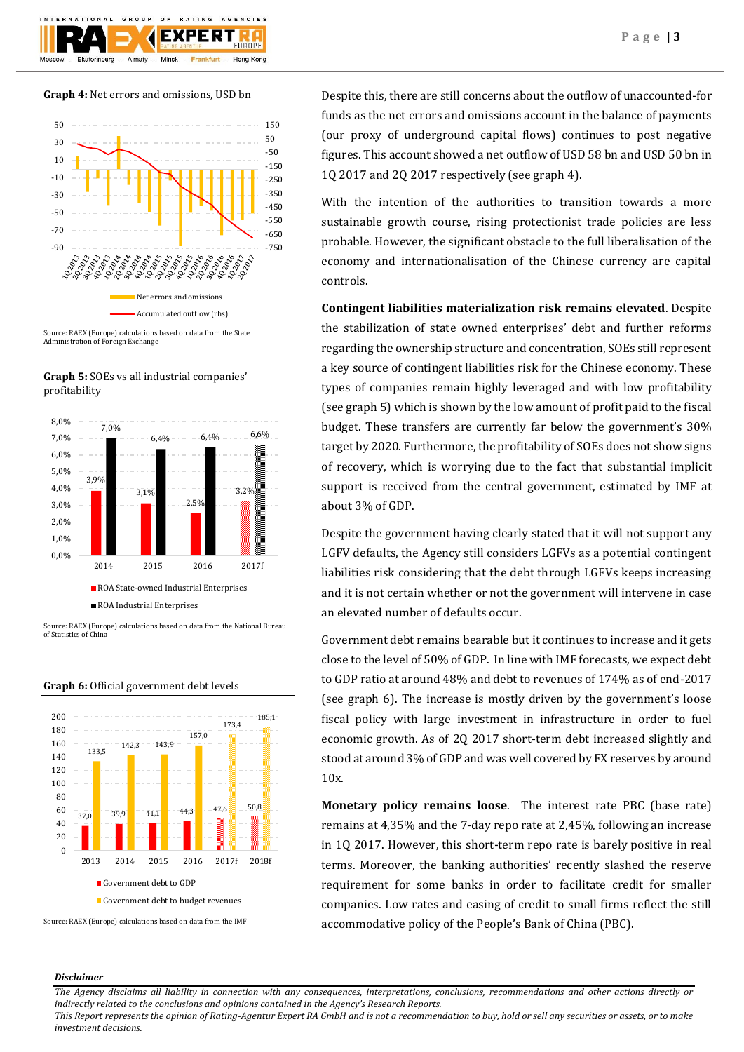

## **Graph 4:** Net errors and omissions, USD bn



Source: RAEX (Europe) calculations based on data from the State Administration of Foreign Exchange





Source: RAEX (Europe) calculations based on data from the National Bureau of Statistics of China



#### **Graph 6:** Official government debt levels

Despite this, there are still concerns about the outflow of unaccounted-for funds as the net errors and omissions account in the balance of payments (our proxy of underground capital flows) continues to post negative figures. This account showed a net outflow of USD 58 bn and USD 50 bn in 1Q 2017 and 2Q 2017 respectively (see graph 4).

With the intention of the authorities to transition towards a more sustainable growth course, rising protectionist trade policies are less probable. However, the significant obstacle to the full liberalisation of the economy and internationalisation of the Chinese currency are capital controls.

**Contingent liabilities materialization risk remains elevated**. Despite the stabilization of state owned enterprises' debt and further reforms regarding the ownership structure and concentration, SOEs still represent a key source of contingent liabilities risk for the Chinese economy. These types of companies remain highly leveraged and with low profitability (see graph 5) which is shown by the low amount of profit paid to the fiscal budget. These transfers are currently far below the government's 30% target by 2020. Furthermore, the profitability of SOEs does not show signs of recovery, which is worrying due to the fact that substantial implicit support is received from the central government, estimated by IMF at about 3% of GDP.

Despite the government having clearly stated that it will not support any LGFV defaults, the Agency still considers LGFVs as a potential contingent liabilities risk considering that the debt through LGFVs keeps increasing and it is not certain whether or not the government will intervene in case an elevated number of defaults occur.

Government debt remains bearable but it continues to increase and it gets close to the level of 50% of GDP. In line with IMF forecasts, we expect debt to GDP ratio at around 48% and debt to revenues of 174% as of end-2017 (see graph 6). The increase is mostly driven by the government's loose fiscal policy with large investment in infrastructure in order to fuel economic growth. As of 2Q 2017 short-term debt increased slightly and stood at around 3% of GDP and was well covered by FX reserves by around 10x.

**Monetary policy remains loose**. The interest rate PBC (base rate) remains at 4,35% and the 7-day repo rate at 2,45%, following an increase in 1Q 2017. However, this short-term repo rate is barely positive in real terms. Moreover, the banking authorities' recently slashed the reserve requirement for some banks in order to facilitate credit for smaller companies. Low rates and easing of credit to small firms reflect the still accommodative policy of the People's Bank of China (PBC).

## *Disclaimer*

*The Agency disclaims all liability in connection with any consequences, interpretations, conclusions, recommendations and other actions directly or indirectly related to the conclusions and opinions contained in the Agency's Research Reports.*